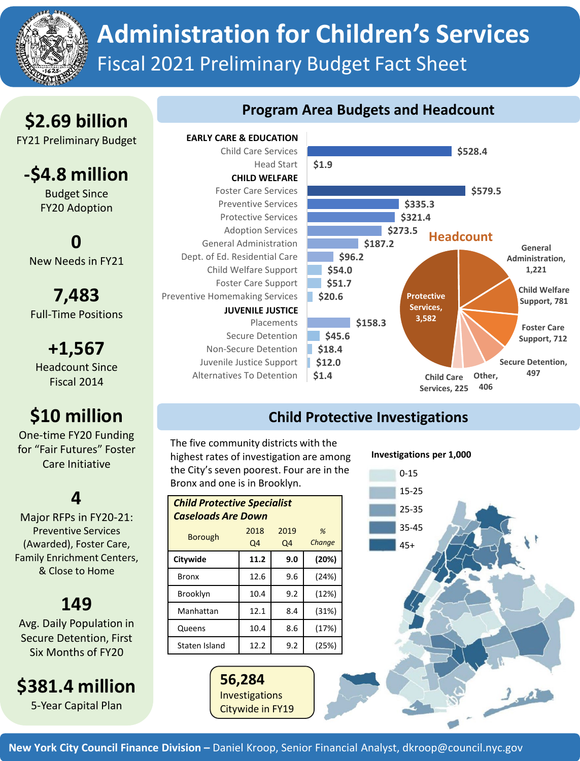

# **Administration for Children's Services** Fiscal 2021 Preliminary Budget Fact Sheet

## **\$2.69 billion**

FY21 Preliminary Budget

### **-\$4.8 million**

Budget Since FY20 Adoption

### **0** New Needs in FY21

**7,483** Full-Time Positions

**+1,567** Headcount Since Fiscal 2014

# **\$10 million**

One-time FY20 Funding for "Fair Futures" Foster Care Initiative

### **4**

Major RFPs in FY20-21: Preventive Services (Awarded), Foster Care, Family Enrichment Centers, & Close to Home

## **149**

Avg. Daily Population in Secure Detention, First Six Months of FY20

**\$381.4 million**

5-Year Capital Plan

#### **Program Area Budgets and Headcount**

Child Care Services Head Start Foster Care Services Preventive Services Protective Services Adoption Services General Administration Dept. of Ed. Residential Care Child Welfare Support Foster Care Support Preventive Homemaking Services Placements Secure Detention Non-Secure Detention Juvenile Justice Support Alternatives To Detention **EARLY CARE & EDUCATION CHILD WELFARE JUVENILE JUSTICE**



### **Child Protective Investigations**

The five community districts with the highest rates of investigation are among the City's seven poorest. Four are in the Bronx and one is in Brooklyn.

| <b>Child Protective Specialist</b><br><b>Caseloads Are Down</b> |            |            |             |  |
|-----------------------------------------------------------------|------------|------------|-------------|--|
| <b>Borough</b>                                                  | 2018<br>Q4 | 2019<br>Q4 | %<br>Change |  |
| Citywide                                                        | 11.2       | 9.0        | (20%)       |  |
| Bronx                                                           | 12.6       | 9.6        | (24%)       |  |
| <b>Brooklyn</b>                                                 | 10.4       | 9.2        | (12%)       |  |
| Manhattan                                                       | 12.1       | 8.4        | (31%)       |  |
| Queens                                                          | 10.4       | 8.6        | (17%)       |  |
| Staten Island                                                   | 12.2       | 9.2        | (25%)       |  |

**56,284** Investigations Citywide in FY19 **Investigations per 1,000**



**New York City Council Finance Division –** Daniel Kroop, Senior Financial Analyst, dkroop@council.nyc.gov